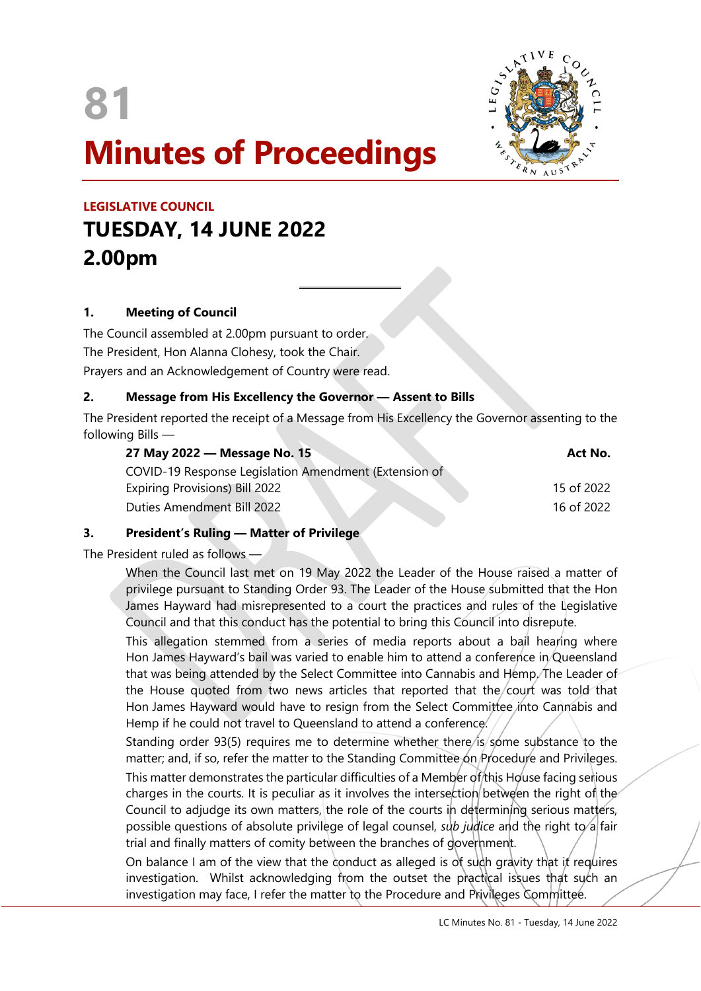

# **Minutes of Proceedings**

# **LEGISLATIVE COUNCIL TUESDAY, 14 JUNE 2022 2.00pm**

# **1. Meeting of Council**

The Council assembled at 2.00pm pursuant to order. The President, Hon Alanna Clohesy, took the Chair. Prayers and an Acknowledgement of Country were read.

#### **2. Message from His Excellency the Governor — Assent to Bills**

 $\overline{a}$ 

The President reported the receipt of a Message from His Excellency the Governor assenting to the following Bills —

| 27 May 2022 - Message No. 15                          | Act No.    |
|-------------------------------------------------------|------------|
| COVID-19 Response Legislation Amendment (Extension of |            |
| Expiring Provisions) Bill 2022                        | 15 of 2022 |
| Duties Amendment Bill 2022                            | 16 of 2022 |

# **3. President's Ruling — Matter of Privilege**

#### The President ruled as follows —

When the Council last met on 19 May 2022 the Leader of the House raised a matter of privilege pursuant to Standing Order 93. The Leader of the House submitted that the Hon James Hayward had misrepresented to a court the practices and rules of the Legislative Council and that this conduct has the potential to bring this Council into disrepute.

This allegation stemmed from a series of media reports about a bail hearing where Hon James Hayward's bail was varied to enable him to attend a conference in Queensland that was being attended by the Select Committee into Cannabis and Hemp. The Leader of the House quoted from two news articles that reported that the court was told that Hon James Hayward would have to resign from the Select Committee into Cannabis and Hemp if he could not travel to Queensland to attend a conference.

Standing order 93(5) requires me to determine whether there is some substance to the matter; and, if so, refer the matter to the Standing Committee on Procedure and Privileges.

This matter demonstrates the particular difficulties of a Member of this House facing serious charges in the courts. It is peculiar as it involves the intersection between the right of the Council to adjudge its own matters, the role of the courts in determining serious matters, possible questions of absolute privilege of legal counsel, *sub judice* and the right to a fair trial and finally matters of comity between the branches of government.

On balance I am of the view that the conduct as alleged is of such gravity that it requires investigation. Whilst acknowledging from the outset the practical issues that such an investigation may face, I refer the matter to the Procedure and Privileges Committee.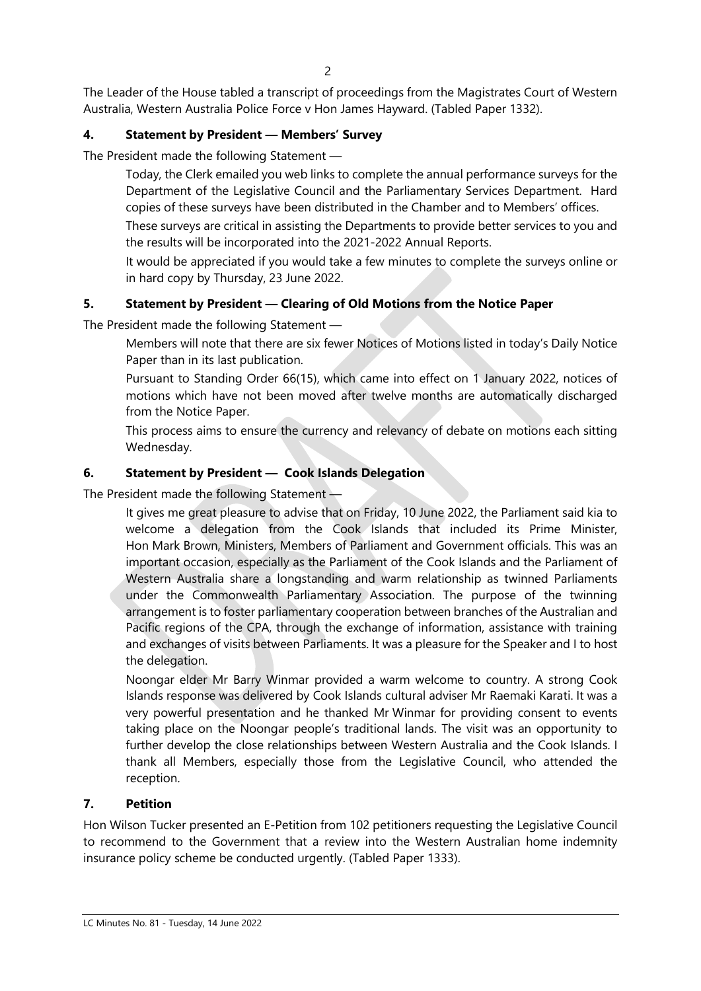The Leader of the House tabled a transcript of proceedings from the Magistrates Court of Western Australia, Western Australia Police Force v Hon James Hayward. (Tabled Paper 1332).

# **4. Statement by President — Members' Survey**

The President made the following Statement —

Today, the Clerk emailed you web links to complete the annual performance surveys for the Department of the Legislative Council and the Parliamentary Services Department. Hard copies of these surveys have been distributed in the Chamber and to Members' offices.

These surveys are critical in assisting the Departments to provide better services to you and the results will be incorporated into the 2021-2022 Annual Reports.

It would be appreciated if you would take a few minutes to complete the surveys online or in hard copy by Thursday, 23 June 2022.

# **5. Statement by President — Clearing of Old Motions from the Notice Paper**

The President made the following Statement —

Members will note that there are six fewer Notices of Motions listed in today's Daily Notice Paper than in its last publication.

Pursuant to Standing Order 66(15), which came into effect on 1 January 2022, notices of motions which have not been moved after twelve months are automatically discharged from the Notice Paper.

This process aims to ensure the currency and relevancy of debate on motions each sitting Wednesday.

# **6. Statement by President — Cook Islands Delegation**

The President made the following Statement —

It gives me great pleasure to advise that on Friday, 10 June 2022, the Parliament said kia to welcome a delegation from the Cook Islands that included its Prime Minister, Hon Mark Brown, Ministers, Members of Parliament and Government officials. This was an important occasion, especially as the Parliament of the Cook Islands and the Parliament of Western Australia share a longstanding and warm relationship as twinned Parliaments under the Commonwealth Parliamentary Association. The purpose of the twinning arrangement is to foster parliamentary cooperation between branches of the Australian and Pacific regions of the CPA, through the exchange of information, assistance with training and exchanges of visits between Parliaments. It was a pleasure for the Speaker and I to host the delegation.

Noongar elder Mr Barry Winmar provided a warm welcome to country. A strong Cook Islands response was delivered by Cook Islands cultural adviser Mr Raemaki Karati. It was a very powerful presentation and he thanked Mr Winmar for providing consent to events taking place on the Noongar people's traditional lands. The visit was an opportunity to further develop the close relationships between Western Australia and the Cook Islands. I thank all Members, especially those from the Legislative Council, who attended the reception.

# **7. Petition**

Hon Wilson Tucker presented an E-Petition from 102 petitioners requesting the Legislative Council to recommend to the Government that a review into the Western Australian home indemnity insurance policy scheme be conducted urgently. (Tabled Paper 1333).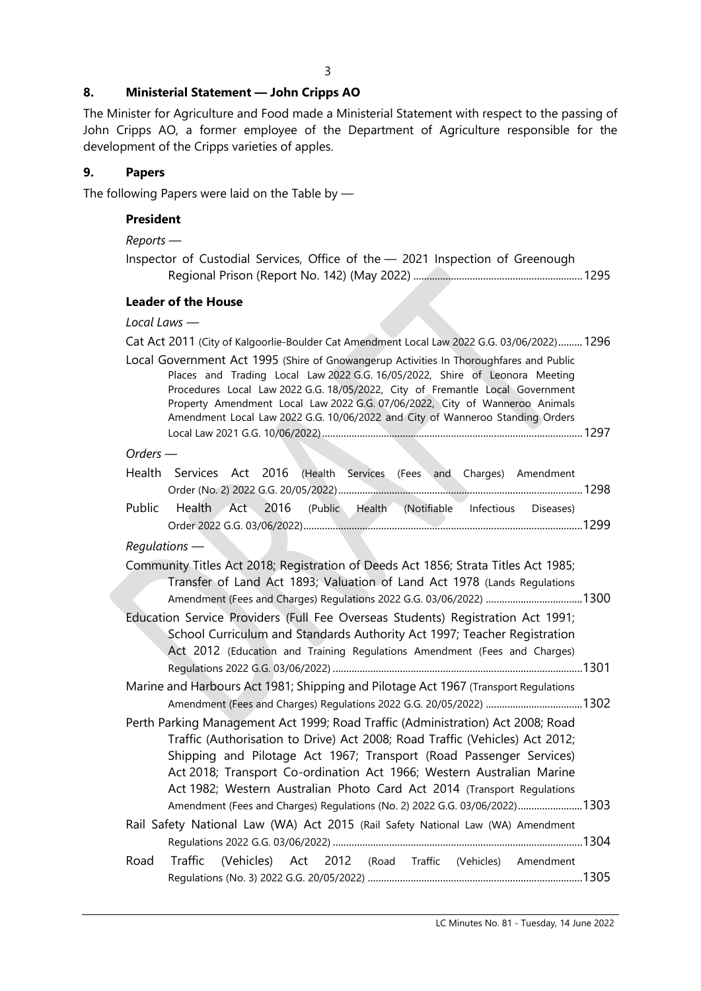#### **8. Ministerial Statement — John Cripps AO**

The Minister for Agriculture and Food made a Ministerial Statement with respect to the passing of John Cripps AO, a former employee of the Department of Agriculture responsible for the development of the Cripps varieties of apples.

#### **9. Papers**

The following Papers were laid on the Table by  $-$ 

#### **President**

*Reports —*

| Inspector of Custodial Services, Office of the - 2021 Inspection of Greenough |  |
|-------------------------------------------------------------------------------|--|
|                                                                               |  |

#### **Leader of the House**

*Local Laws —*

Cat Act 2011 (City of Kalgoorlie-Boulder Cat Amendment Local Law 2022 G.G. 03/06/2022).........1296 Local Government Act 1995 (Shire of Gnowangerup Activities In Thoroughfares and Public Places and Trading Local Law 2022 G.G. 16/05/2022, Shire of Leonora Meeting Procedures Local Law 2022 G.G. 18/05/2022, City of Fremantle Local Government Property Amendment Local Law 2022 G.G. 07/06/2022, City of Wanneroo Animals Amendment Local Law 2022 G.G. 10/06/2022 and City of Wanneroo Standing Orders Local Law 2021 G.G. 10/06/2022).................................................................................................1297 *Orders —* Health Services Act 2016 (Health Services (Fees and Charges) Amendment Order (No. 2) 2022 G.G. 20/05/2022)...........................................................................................1298 Public Health Act 2016 (Public Health (Notifiable Infectious Diseases) Order 2022 G.G. 03/06/2022)........................................................................................................1299 *Regulations —* Community Titles Act 2018; Registration of Deeds Act 1856; Strata Titles Act 1985; Transfer of Land Act 1893; Valuation of Land Act 1978 (Lands Regulations Amendment (Fees and Charges) Regulations 2022 G.G. 03/06/2022) ....................................1300 Education Service Providers (Full Fee Overseas Students) Registration Act 1991; School Curriculum and Standards Authority Act 1997; Teacher Registration Act 2012 (Education and Training Regulations Amendment (Fees and Charges) Regulations 2022 G.G. 03/06/2022) .............................................................................................1301 Marine and Harbours Act 1981; Shipping and Pilotage Act 1967 (Transport Regulations Amendment (Fees and Charges) Regulations 2022 G.G. 20/05/2022) ....................................1302 Perth Parking Management Act 1999; Road Traffic (Administration) Act 2008; Road Traffic (Authorisation to Drive) Act 2008; Road Traffic (Vehicles) Act 2012; Shipping and Pilotage Act 1967; Transport (Road Passenger Services) Act 2018; Transport Co-ordination Act 1966; Western Australian Marine Act 1982; Western Australian Photo Card Act 2014 (Transport Regulations Amendment (Fees and Charges) Regulations (No. 2) 2022 G.G. 03/06/2022)........................1303 Rail Safety National Law (WA) Act 2015 (Rail Safety National Law (WA) Amendment Regulations 2022 G.G. 03/06/2022) .............................................................................................1304 Road Traffic (Vehicles) Act 2012 (Road Traffic (Vehicles) Amendment Regulations (No. 3) 2022 G.G. 20/05/2022) ................................................................................1305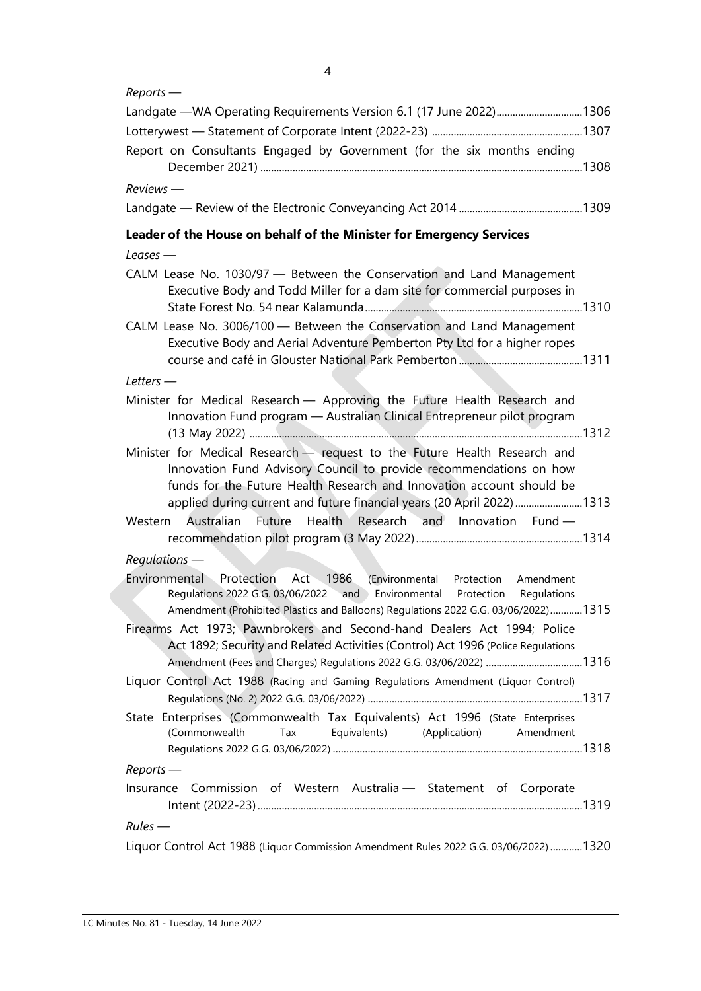| Reports |  |
|---------|--|
|---------|--|

| Report on Consultants Engaged by Government (for the six months ending                                                                                                                                                                                                                                                                                                                                    |      |
|-----------------------------------------------------------------------------------------------------------------------------------------------------------------------------------------------------------------------------------------------------------------------------------------------------------------------------------------------------------------------------------------------------------|------|
| Reviews -                                                                                                                                                                                                                                                                                                                                                                                                 |      |
|                                                                                                                                                                                                                                                                                                                                                                                                           |      |
| Leader of the House on behalf of the Minister for Emergency Services                                                                                                                                                                                                                                                                                                                                      |      |
| $Leases$ —                                                                                                                                                                                                                                                                                                                                                                                                |      |
| CALM Lease No. 1030/97 - Between the Conservation and Land Management<br>Executive Body and Todd Miller for a dam site for commercial purposes in                                                                                                                                                                                                                                                         |      |
| CALM Lease No. 3006/100 - Between the Conservation and Land Management<br>Executive Body and Aerial Adventure Pemberton Pty Ltd for a higher ropes                                                                                                                                                                                                                                                        |      |
| $Leters$ —                                                                                                                                                                                                                                                                                                                                                                                                |      |
| Minister for Medical Research - Approving the Future Health Research and<br>Innovation Fund program - Australian Clinical Entrepreneur pilot program                                                                                                                                                                                                                                                      |      |
| Minister for Medical Research - request to the Future Health Research and<br>Innovation Fund Advisory Council to provide recommendations on how<br>funds for the Future Health Research and Innovation account should be<br>applied during current and future financial years (20 April 2022)  1313                                                                                                       |      |
| Western Australian Future Health<br>Research and Innovation Fund-                                                                                                                                                                                                                                                                                                                                         |      |
| $Requirements$ —                                                                                                                                                                                                                                                                                                                                                                                          |      |
| Act 1986<br>Environmental Protection<br>(Environmental Protection<br>Amendment<br>Regulations 2022 G.G. 03/06/2022 and Environmental Protection<br>Regulations<br>Amendment (Prohibited Plastics and Balloons) Regulations 2022 G.G. 03/06/2022)1315                                                                                                                                                      |      |
| Firearms Act 1973; Pawnbrokers and Second-hand Dealers Act 1994; Police<br>Act 1892; Security and Related Activities (Control) Act 1996 (Police Regulations                                                                                                                                                                                                                                               |      |
| Liquor Control Act 1988 (Racing and Gaming Regulations Amendment (Liquor Control)                                                                                                                                                                                                                                                                                                                         |      |
| State Enterprises (Commonwealth Tax Equivalents) Act 1996 (State Enterprises<br>(Commonwealth<br>Equivalents) (Application)<br>Tax<br>Amendment                                                                                                                                                                                                                                                           |      |
| $Reports$ —                                                                                                                                                                                                                                                                                                                                                                                               |      |
| Insurance Commission of Western Australia - Statement of Corporate                                                                                                                                                                                                                                                                                                                                        |      |
| $Rules$ —                                                                                                                                                                                                                                                                                                                                                                                                 |      |
| $\overline{a}$ $\overline{b}$ $\overline{c}$ $\overline{c}$ $\overline{c}$ $\overline{c}$ $\overline{c}$ $\overline{c}$ $\overline{c}$ $\overline{c}$ $\overline{c}$ $\overline{c}$ $\overline{c}$ $\overline{c}$ $\overline{c}$ $\overline{c}$ $\overline{c}$ $\overline{c}$ $\overline{c}$ $\overline{c}$ $\overline{c}$ $\overline{c}$ $\overline{c}$ $\overline{c}$ $\overline{$<br>$-11114 + 1000 u$ | 1220 |

Liquor Control Act 1988 (Liquor Commission Amendment Rules 2022 G.G. 03/06/2022) ............1320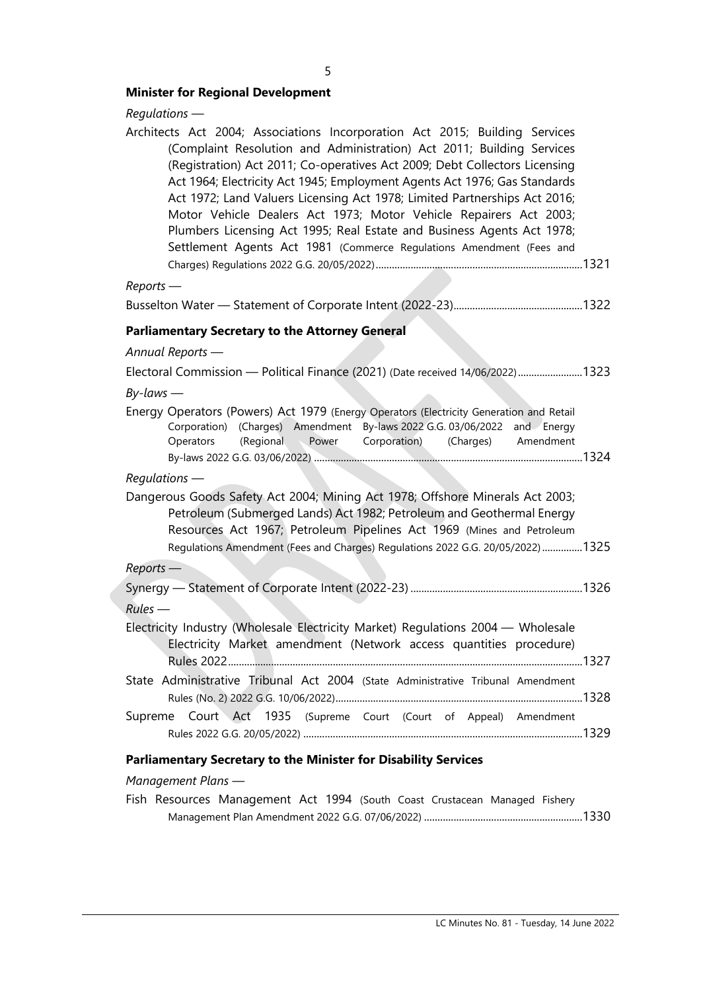#### **Minister for Regional Development**

*Regulations —*

| Architects Act 2004; Associations Incorporation Act 2015; Building Services<br>(Complaint Resolution and Administration) Act 2011; Building Services<br>(Registration) Act 2011; Co-operatives Act 2009; Debt Collectors Licensing<br>Act 1964; Electricity Act 1945; Employment Agents Act 1976; Gas Standards<br>Act 1972; Land Valuers Licensing Act 1978; Limited Partnerships Act 2016;<br>Motor Vehicle Dealers Act 1973; Motor Vehicle Repairers Act 2003;<br>Plumbers Licensing Act 1995; Real Estate and Business Agents Act 1978;<br>Settlement Agents Act 1981 (Commerce Regulations Amendment (Fees and |
|---------------------------------------------------------------------------------------------------------------------------------------------------------------------------------------------------------------------------------------------------------------------------------------------------------------------------------------------------------------------------------------------------------------------------------------------------------------------------------------------------------------------------------------------------------------------------------------------------------------------|
| $Reports$ —                                                                                                                                                                                                                                                                                                                                                                                                                                                                                                                                                                                                         |
|                                                                                                                                                                                                                                                                                                                                                                                                                                                                                                                                                                                                                     |
| <b>Parliamentary Secretary to the Attorney General</b>                                                                                                                                                                                                                                                                                                                                                                                                                                                                                                                                                              |
| Annual Reports -                                                                                                                                                                                                                                                                                                                                                                                                                                                                                                                                                                                                    |
| Electoral Commission — Political Finance (2021) (Date received 14/06/2022)1323                                                                                                                                                                                                                                                                                                                                                                                                                                                                                                                                      |
| $By$ -laws —                                                                                                                                                                                                                                                                                                                                                                                                                                                                                                                                                                                                        |
| Energy Operators (Powers) Act 1979 (Energy Operators (Electricity Generation and Retail<br>(Charges) Amendment By-laws 2022 G.G. 03/06/2022<br>Corporation)<br>and Energy<br>Corporation)<br>(Charges)<br>(Regional<br>Power<br>Amendment<br>Operators                                                                                                                                                                                                                                                                                                                                                              |
| $Requirements$ —                                                                                                                                                                                                                                                                                                                                                                                                                                                                                                                                                                                                    |
| Dangerous Goods Safety Act 2004; Mining Act 1978; Offshore Minerals Act 2003;<br>Petroleum (Submerged Lands) Act 1982; Petroleum and Geothermal Energy<br>Resources Act 1967; Petroleum Pipelines Act 1969 (Mines and Petroleum<br>Regulations Amendment (Fees and Charges) Regulations 2022 G.G. 20/05/2022)  1325                                                                                                                                                                                                                                                                                                 |
| $Reports$ —                                                                                                                                                                                                                                                                                                                                                                                                                                                                                                                                                                                                         |
|                                                                                                                                                                                                                                                                                                                                                                                                                                                                                                                                                                                                                     |
| $Rules$ —                                                                                                                                                                                                                                                                                                                                                                                                                                                                                                                                                                                                           |
| Electricity Industry (Wholesale Electricity Market) Regulations 2004 - Wholesale<br>Electricity Market amendment (Network access quantities procedure)                                                                                                                                                                                                                                                                                                                                                                                                                                                              |
| State Administrative Tribunal Act 2004 (State Administrative Tribunal Amendment                                                                                                                                                                                                                                                                                                                                                                                                                                                                                                                                     |
|                                                                                                                                                                                                                                                                                                                                                                                                                                                                                                                                                                                                                     |
| Supreme Court Act 1935 (Supreme Court (Court of Appeal) Amendment                                                                                                                                                                                                                                                                                                                                                                                                                                                                                                                                                   |
|                                                                                                                                                                                                                                                                                                                                                                                                                                                                                                                                                                                                                     |
| <b>Parliamentary Secretary to the Minister for Disability Services</b>                                                                                                                                                                                                                                                                                                                                                                                                                                                                                                                                              |
| Management Plans -                                                                                                                                                                                                                                                                                                                                                                                                                                                                                                                                                                                                  |

Fish Resources Management Act 1994 (South Coast Crustacean Managed Fishery Management Plan Amendment 2022 G.G. 07/06/2022) ...........................................................1330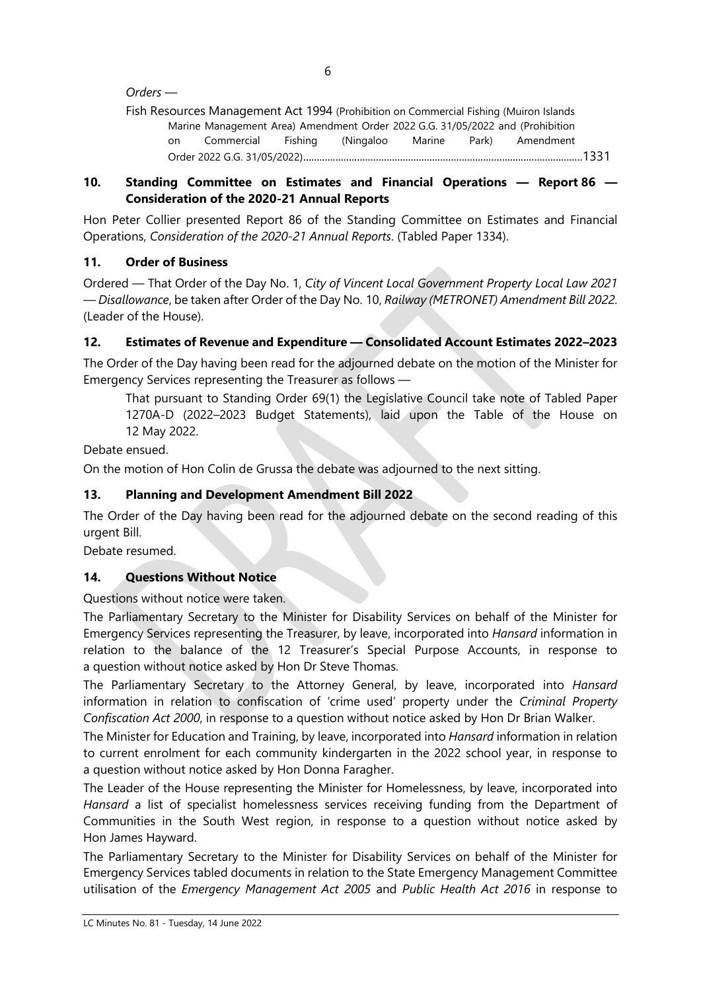#### *Orders —*

|                                                                               |    | Fish Resources Management Act 1994 (Prohibition on Commercial Fishing (Muiron Islands |  |           |        |  |                 |  |
|-------------------------------------------------------------------------------|----|---------------------------------------------------------------------------------------|--|-----------|--------|--|-----------------|--|
| Marine Management Area) Amendment Order 2022 G.G. 31/05/2022 and (Prohibition |    |                                                                                       |  |           |        |  |                 |  |
|                                                                               | on | Commercial Fishing                                                                    |  | (Ningaloo | Marine |  | Park) Amendment |  |
|                                                                               |    |                                                                                       |  |           |        |  |                 |  |

#### **10. Standing Committee on Estimates and Financial Operations — Report 86 — Consideration of the 2020-21 Annual Reports**

Hon Peter Collier presented Report 86 of the Standing Committee on Estimates and Financial Operations, *Consideration of the 2020-21 Annual Reports*. (Tabled Paper 1334).

#### **11. Order of Business**

Ordered — That Order of the Day No. 1, *City of Vincent Local Government Property Local Law 2021 — Disallowance*, be taken after Order of the Day No. 10, *Railway (METRONET) Amendment Bill 2022*. (Leader of the House).

# **12. Estimates of Revenue and Expenditure — Consolidated Account Estimates 2022–2023**

The Order of the Day having been read for the adjourned debate on the motion of the Minister for Emergency Services representing the Treasurer as follows —

That pursuant to Standing Order 69(1) the Legislative Council take note of Tabled Paper 1270A-D (2022–2023 Budget Statements), laid upon the Table of the House on 12 May 2022.

Debate ensued.

On the motion of Hon Colin de Grussa the debate was adjourned to the next sitting.

# **13. Planning and Development Amendment Bill 2022**

The Order of the Day having been read for the adjourned debate on the second reading of this urgent Bill.

Debate resumed.

# **14. Questions Without Notice**

Questions without notice were taken.

The Parliamentary Secretary to the Minister for Disability Services on behalf of the Minister for Emergency Services representing the Treasurer, by leave, incorporated into *Hansard* information in relation to the balance of the 12 Treasurer's Special Purpose Accounts, in response to a question without notice asked by Hon Dr Steve Thomas.

The Parliamentary Secretary to the Attorney General, by leave, incorporated into *Hansard* information in relation to confiscation of 'crime used' property under the *Criminal Property Confiscation Act 2000*, in response to a question without notice asked by Hon Dr Brian Walker.

The Minister for Education and Training, by leave, incorporated into *Hansard* information in relation to current enrolment for each community kindergarten in the 2022 school year, in response to a question without notice asked by Hon Donna Faragher.

The Leader of the House representing the Minister for Homelessness, by leave, incorporated into *Hansard* a list of specialist homelessness services receiving funding from the Department of Communities in the South West region, in response to a question without notice asked by Hon James Hayward.

The Parliamentary Secretary to the Minister for Disability Services on behalf of the Minister for Emergency Services tabled documents in relation to the State Emergency Management Committee utilisation of the *Emergency Management Act 2005* and *Public Health Act 2016* in response to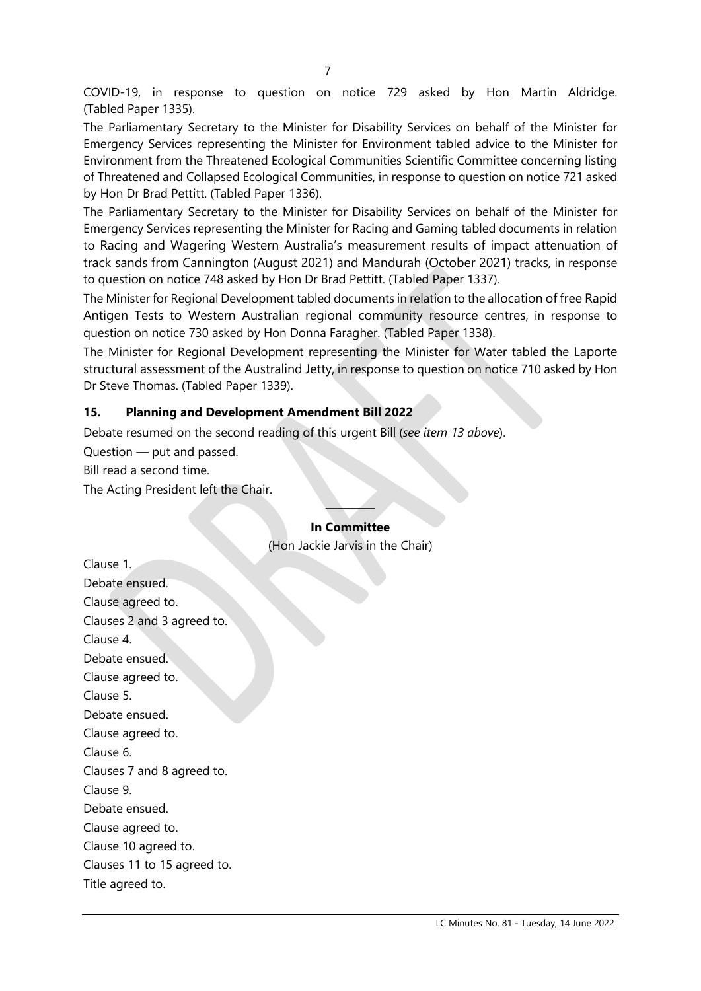COVID-19, in response to question on notice 729 asked by Hon Martin Aldridge. (Tabled Paper 1335).

The Parliamentary Secretary to the Minister for Disability Services on behalf of the Minister for Emergency Services representing the Minister for Environment tabled advice to the Minister for Environment from the Threatened Ecological Communities Scientific Committee concerning listing of Threatened and Collapsed Ecological Communities, in response to question on notice 721 asked by Hon Dr Brad Pettitt. (Tabled Paper 1336).

The Parliamentary Secretary to the Minister for Disability Services on behalf of the Minister for Emergency Services representing the Minister for Racing and Gaming tabled documents in relation to Racing and Wagering Western Australia's measurement results of impact attenuation of track sands from Cannington (August 2021) and Mandurah (October 2021) tracks, in response to question on notice 748 asked by Hon Dr Brad Pettitt. (Tabled Paper 1337).

The Minister for Regional Development tabled documents in relation to the allocation of free Rapid Antigen Tests to Western Australian regional community resource centres, in response to question on notice 730 asked by Hon Donna Faragher. (Tabled Paper 1338).

The Minister for Regional Development representing the Minister for Water tabled the Laporte structural assessment of the Australind Jetty, in response to question on notice 710 asked by Hon Dr Steve Thomas. (Tabled Paper 1339).

# **15. Planning and Development Amendment Bill 2022**

Debate resumed on the second reading of this urgent Bill (*see item 13 above*).

Question — put and passed.

Bill read a second time.

The Acting President left the Chair.

# **In Committee** (Hon Jackie Jarvis in the Chair)

————

Clause 1. Debate ensued. Clause agreed to. Clauses 2 and 3 agreed to. Clause 4. Debate ensued. Clause agreed to. Clause 5. Debate ensued. Clause agreed to. Clause 6. Clauses 7 and 8 agreed to. Clause 9. Debate ensued. Clause agreed to. Clause 10 agreed to. Clauses 11 to 15 agreed to. Title agreed to.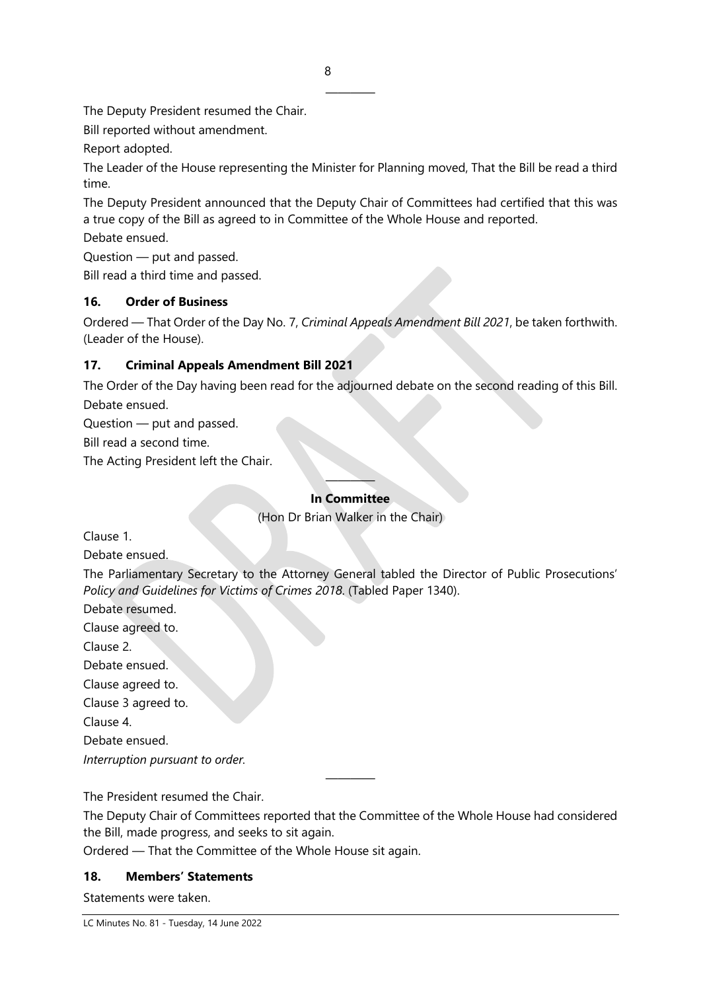The Deputy President resumed the Chair.

Bill reported without amendment.

Report adopted.

The Leader of the House representing the Minister for Planning moved, That the Bill be read a third time.

————

The Deputy President announced that the Deputy Chair of Committees had certified that this was a true copy of the Bill as agreed to in Committee of the Whole House and reported.

Debate ensued.

Question — put and passed.

Bill read a third time and passed.

#### **16. Order of Business**

Ordered — That Order of the Day No. 7, *Criminal Appeals Amendment Bill 2021*, be taken forthwith. (Leader of the House).

#### **17. Criminal Appeals Amendment Bill 2021**

The Order of the Day having been read for the adjourned debate on the second reading of this Bill. Debate ensued.

Question — put and passed.

Bill read a second time.

The Acting President left the Chair.

#### ———— **In Committee**

(Hon Dr Brian Walker in the Chair)

Clause 1.

Debate ensued.

The Parliamentary Secretary to the Attorney General tabled the Director of Public Prosecutions' *Policy and Guidelines for Victims of Crimes 2018*. (Tabled Paper 1340).

Debate resumed.

Clause agreed to.

Clause 2.

Debate ensued.

Clause agreed to.

Clause 3 agreed to.

Clause 4.

Debate ensued.

*Interruption pursuant to order.*

The President resumed the Chair.

The Deputy Chair of Committees reported that the Committee of the Whole House had considered the Bill, made progress, and seeks to sit again.

————

Ordered — That the Committee of the Whole House sit again.

#### **18. Members' Statements**

Statements were taken.